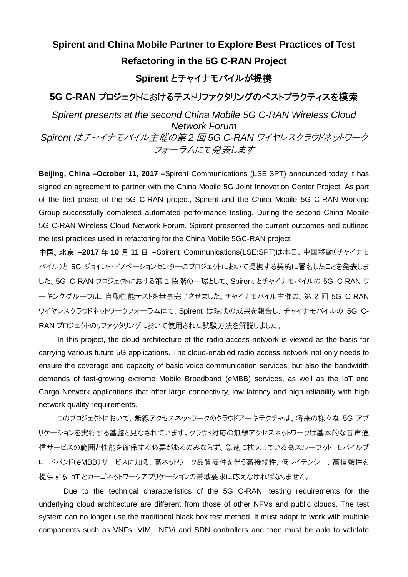## **Spirent and China Mobile Partner to Explore Best Practices of Test Refactoring in the 5G C-RAN Project**

## **Spirent** とチャイナモバイルが提携

## **5G C-RAN** プロジェクトにおけるテストリファクタリングのベストプラクティスを模索

*Spirent presents at the second China Mobile 5G C-RAN Wireless Cloud Network Forum Spirent* はチャイナモバイル主催の第 *2* 回 *5G C-RAN* ワイヤレスクラウドネットワーク フォーラムにて発表します

**Beijing, China –October 11, 2017 –**Spirent Communications (LSE:SPT) announced today it has signed an agreement to partner with the China Mobile 5G Joint Innovation Center Project. As part of the first phase of the 5G C-RAN project, Spirent and the China Mobile 5G C-RAN Working Group successfully completed automated performance testing. During the second China Mobile 5G C-RAN Wireless Cloud Network Forum, Spirent presented the current outcomes and outlined the test practices used in refactoring for the China Mobile 5GC-RAN project.

中国、北京 **–2017** 年 **10** 月 **11** 日 **–**Spirent・Communications(LSE:SPT)は本日、中国移動(チャイナモ バイル)と 5G ジョイント・イノベーションセンターのプロジェクトにおいて提携する契約に署名したことを発表しま した。5G C-RAN プロジェクトにおける第 1 段階の一環として、Spirent とチャイナモバイルの 5G C-RAN ワ ーキンググループは、自動性能テストを無事完了させました。チャイナモバイル主催の、第 2 回 5G C-RAN ワイヤレスクラウドネットワークフォーラムにて、Spirent は現状の成果を報告し、チャイナモバイルの 5G C-RAN プロジェクトのリファクタリングにおいて使用された試験方法を解説しました。

In this project, the cloud architecture of the radio access network is viewed as the basis for carrying various future 5G applications. The cloud-enabled radio access network not only needs to ensure the coverage and capacity of basic voice communication services, but also the bandwidth demands of fast-growing extreme Mobile Broadband (eMBB) services, as well as the IoT and Cargo Network applications that offer large connectivity, low latency and high reliability with high network quality requirements.

このプロジェクトにおいて、無線アクセスネットワークのクラウドアーキテクチャは、将来の様々な 5G アプ リケーションを実行する基盤と見なされています。クラウド対応の無線アクセスネットワークは基本的な音声通 信サービスの範囲と性能を確保する必要があるのみならず、急速に拡大している高スループット モバイルブ ロードバンド(eMBB)サービスに加え、高ネットワーク品質要件を伴う高接続性、低レイテンシー、高信頼性を 提供する IoT とカーゴネットワークアプリケーションの帯域要求に応えなければなりません。

Due to the technical characteristics of the 5G C-RAN, testing requirements for the underlying cloud architecture are different from those of other NFVs and public clouds. The test system can no longer use the traditional black box test method. It must adapt to work with multiple components such as VNFs, VIM, NFVi and SDN controllers and then must be able to validate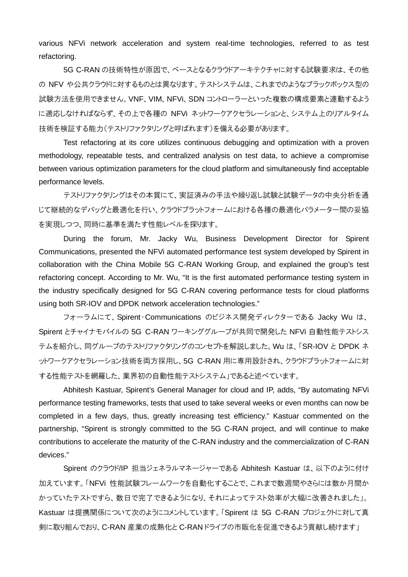various NFVi network acceleration and system real-time technologies, referred to as test refactoring.

5G C-RAN の技術特性が原因で、ベースとなるクラウドアーキテクチャに対する試験要求は、その他 の NFV や公共クラウドに対するものとは異なります。テストシステムは、これまでのようなブラックボックス型の 試験方法を使用できません。VNF、VIM、NFVi、SDN コントローラーといった複数の構成要素と連動するよう に適応しなければならず、その上で各種の NFVi ネットワークアクセラレーションと、システム上のリアルタイム 技術を検証する能力(テストリファクタリングと呼ばれます)を備える必要があります。

Test refactoring at its core utilizes continuous debugging and optimization with a proven methodology, repeatable tests, and centralized analysis on test data, to achieve a compromise between various optimization parameters for the cloud platform and simultaneously find acceptable performance levels.

テストリファクタリングはその本質にて、実証済みの手法や繰り返し試験と試験データの中央分析を通 じて継続的なデバッグと最適化を行い、クラウドプラットフォームにおける各種の最適化パラメーター間の妥協 を実現しつつ、同時に基準を満たす性能レベルを探ります。

During the forum, Mr. Jacky Wu, Business Development Director for Spirent Communications, presented the NFVi automated performance test system developed by Spirent in collaboration with the China Mobile 5G C-RAN Working Group, and explained the group's test refactoring concept. According to Mr. Wu, "It is the first automated performance testing system in the industry specifically designed for 5G C-RAN covering performance tests for cloud platforms using both SR-IOV and DPDK network acceleration technologies."

フォーラムにて、Spirent・Communications のビジネス開発ディレクターである Jacky Wu は、 Spirent とチャイナモバイルの 5G C-RAN ワーキンググループが共同で開発した NFVi 自動性能テストシス テムを紹介し、同グループのテストリファクタリングのコンセプトを解説しました。Wu は、「SR-IOV と DPDK ネ ットワークアクセラレーション技術を両方採用し、5G C-RAN 用に専用設計され、クラウドプラットフォームに対 する性能テストを網羅した、業界初の自動性能テストシステム」であると述べています。

Abhitesh Kastuar, Spirent's General Manager for cloud and IP, adds, "By automating NFVi performance testing frameworks, tests that used to take several weeks or even months can now be completed in a few days, thus, greatly increasing test efficiency." Kastuar commented on the partnership, "Spirent is strongly committed to the 5G C-RAN project, and will continue to make contributions to accelerate the maturity of the C-RAN industry and the commercialization of C-RAN devices."

Spirent のクラウド/IP 担当ジェネラルマネージャーである Abhitesh Kastuar は、以下のように付け 加えています。「NFVi 性能試験フレームワークを自動化することで、これまで数週間やさらには数か月間か かっていたテストですら、数日で完了できるようになり、それによってテスト効率が大幅に改善されました」。 Kastuar は提携関係について次のようにコメントしています。「Spirent は 5G C-RAN プロジェクトに対して真 剣に取り組んでおり、C-RAN 産業の成熟化と C-RAN ドライブの市販化を促進できるよう貢献し続けます」